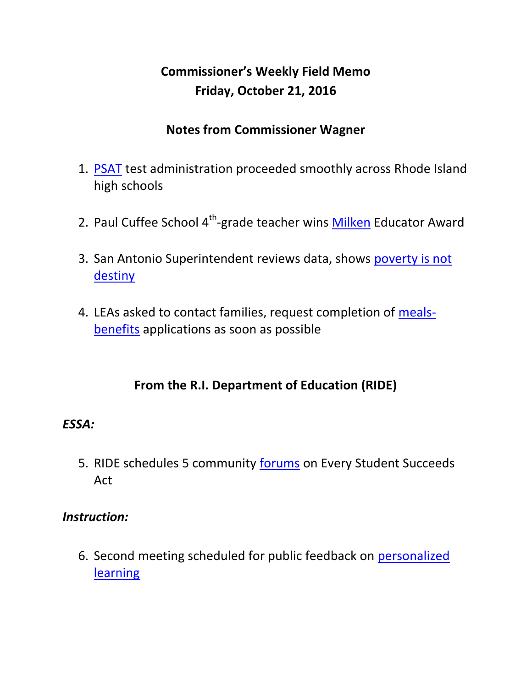# **Commissioner's Weekly Field Memo Friday, October 21, 2016**

### **Notes from Commissioner Wagner**

- 1. [PSAT](#page-3-0) test administration proceeded smoothly across Rhode Island high schools
- 2. Paul Cuffee School 4<sup>th</sup>-grade teacher wins **Milken** Educator Award
- 3. San Antonio Superintendent reviews data, shows [poverty is not](#page-5-0)  [destiny](#page-5-0)
- 4. LEAs asked to contact families, request completion of [meals](#page-7-0)[benefits](#page-7-0) applications as soon as possible

### **From the R.I. Department of Education (RIDE)**

#### *ESSA:*

5. RIDE schedules 5 community [forums](#page-8-0) on Every Student Succeeds Act

#### *Instruction:*

6. Second meeting scheduled for public feedback on [personalized](#page-9-0)  [learning](#page-9-0)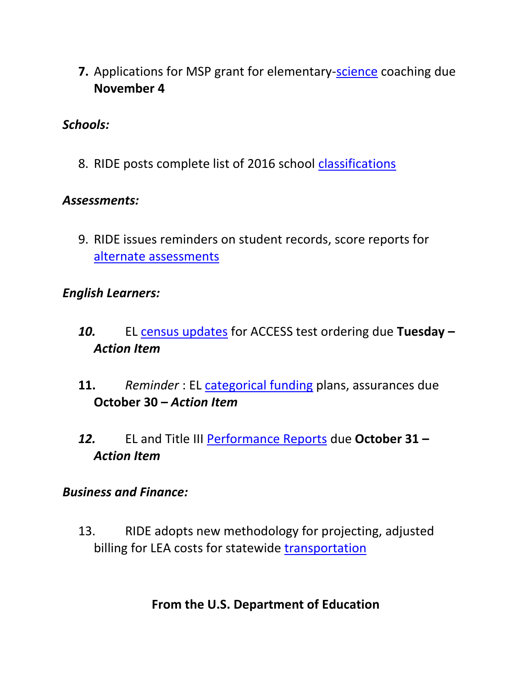**7.** Applications for MSP grant for elementary[-science](#page-10-0) coaching due **November 4**

#### *Schools:*

8. RIDE posts complete list of 2016 school [classifications](#page-11-0)

#### *Assessments:*

9. RIDE issues reminders on student records, score reports for [alternate assessments](#page-11-1)

#### *English Learners:*

- *10.* EL [census updates](#page-13-0) for ACCESS test ordering due **Tuesday –** *Action Item*
- **11.** *Reminder* : EL [categorical funding](#page-13-1) plans, assurances due **October 30 –** *Action Item*
- *12.* EL and Title III [Performance Reports](#page-14-0) due **October 31 –** *Action Item*

#### *Business and Finance:*

13. RIDE adopts new methodology for projecting, adjusted billing for LEA costs for statewide [transportation](#page-14-1)

### **From the U.S. Department of Education**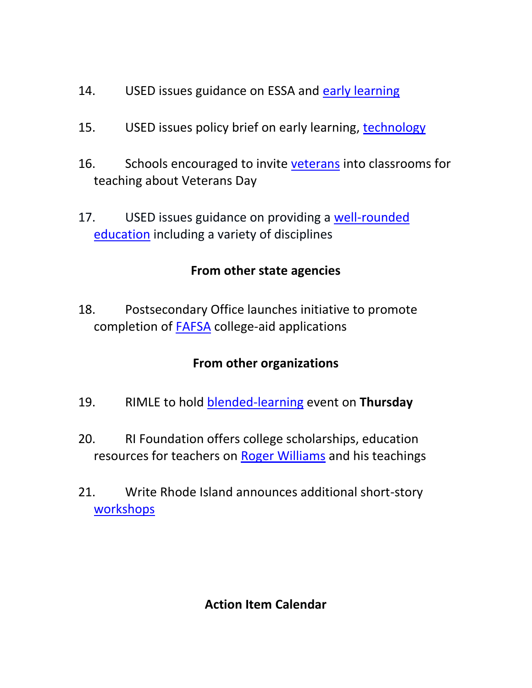- 14. USED issues guidance on ESSA and [early learning](#page-15-0)
- 15. USED issues policy brief on early learning, [technology](#page-16-0)
- 16. Schools encouraged to invite [veterans](#page-16-1) into classrooms for teaching about Veterans Day
- 17. USED issues guidance on providing a [well-rounded](#page-17-0)  [education](#page-17-0) including a variety of disciplines

### **From other state agencies**

18. Postsecondary Office launches initiative to promote completion of [FAFSA](#page-18-0) college-aid applications

### **From other organizations**

- 19. RIMLE to hold [blended-learning](#page-19-0) event on **Thursday**
- 20. RI Foundation offers college scholarships, education resources for teachers on [Roger Williams](#page-20-0) and his teachings
- 21. Write Rhode Island announces additional short-story [workshops](#page-20-0)

### **Action Item Calendar**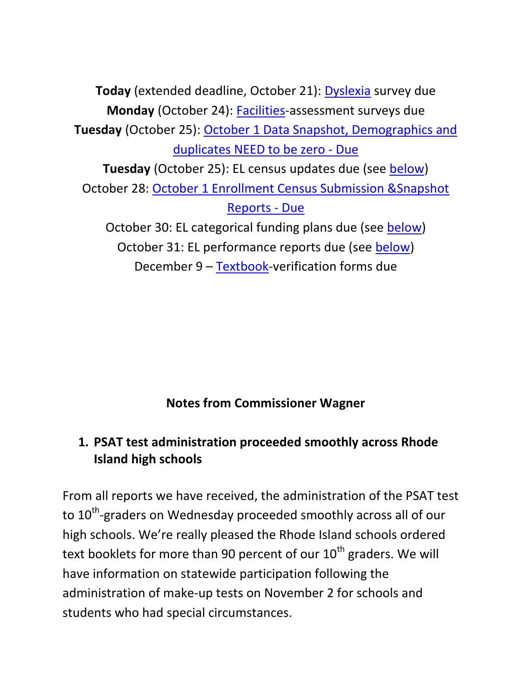**Today** (extended deadline, October 21): [Dyslexia](http://ride.ri.gov/Portals/0/Uploads/Documents/FieldMemos/092316-FM.pdf) survey due **Monday** (October 24): [Facilities-](http://www.ride.ri.gov/Portals/0/Uploads/Documents/FieldMemos/100716-FM.pdf)assessment surveys due **Tuesday** (October 25): [October 1 Data Snapshot, Demographics and](https://www.eride.ri.gov/eRide40/DataDictionary/ViewDetails.aspx?ID=339)  [duplicates NEED to be zero -](https://www.eride.ri.gov/eRide40/DataDictionary/ViewDetails.aspx?ID=339) Due **Tuesday** (October 25): EL census updates due (see [below\)](#page-13-0) October 28: [October 1 Enrollment Census Submission &Snapshot](https://www.eride.ri.gov/eRide40/DataDictionary/ViewDetails.aspx?ID=339)  [Reports -](https://www.eride.ri.gov/eRide40/DataDictionary/ViewDetails.aspx?ID=339) Due October 30: EL categorical funding plans due (see [below\)](#page-13-1) October 31: EL performance reports due (see [below\)](#page-14-0)

December 9 – [Textbook-](http://www.ride.ri.gov/Portals/0/Uploads/Documents/FieldMemos/100716-FM.pdf)verification forms due

**Notes from Commissioner Wagner**

# <span id="page-3-0"></span>**1. PSAT test administration proceeded smoothly across Rhode Island high schools**

From all reports we have received, the administration of the PSAT test to 10<sup>th</sup>-graders on Wednesday proceeded smoothly across all of our high schools. We're really pleased the Rhode Island schools ordered text booklets for more than 90 percent of our  $10^{th}$  graders. We will have information on statewide participation following the administration of make-up tests on November 2 for schools and students who had special circumstances.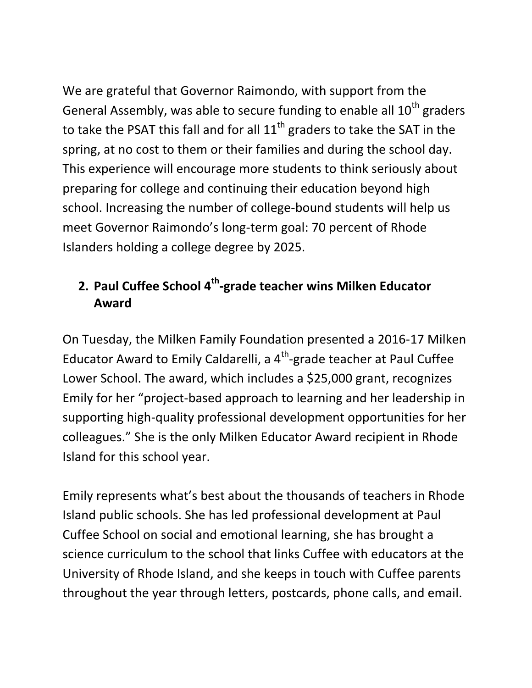We are grateful that Governor Raimondo, with support from the General Assembly, was able to secure funding to enable all  $10<sup>th</sup>$  graders to take the PSAT this fall and for all  $11<sup>th</sup>$  graders to take the SAT in the spring, at no cost to them or their families and during the school day. This experience will encourage more students to think seriously about preparing for college and continuing their education beyond high school. Increasing the number of college-bound students will help us meet Governor Raimondo's long-term goal: 70 percent of Rhode Islanders holding a college degree by 2025.

# **2. Paul Cuffee School 4th -grade teacher wins Milken Educator Award**

On Tuesday, the Milken Family Foundation presented a 2016-17 Milken Educator Award to Emily Caldarelli, a 4<sup>th</sup>-grade teacher at Paul Cuffee Lower School. The award, which includes a \$25,000 grant, recognizes Emily for her "project-based approach to learning and her leadership in supporting high-quality professional development opportunities for her colleagues." She is the only Milken Educator Award recipient in Rhode Island for this school year.

Emily represents what's best about the thousands of teachers in Rhode Island public schools. She has led professional development at Paul Cuffee School on social and emotional learning, she has brought a science curriculum to the school that links Cuffee with educators at the University of Rhode Island, and she keeps in touch with Cuffee parents throughout the year through letters, postcards, phone calls, and email.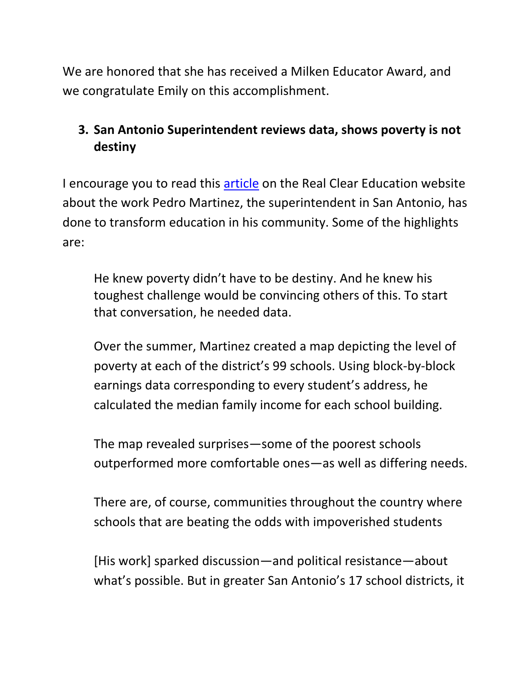We are honored that she has received a Milken Educator Award, and we congratulate Emily on this accomplishment.

# <span id="page-5-0"></span>**3. San Antonio Superintendent reviews data, shows poverty is not destiny**

I encourage you to read this [article](http://www.realcleareducation.com/articles/2016/10/17/the_depths_of_how_poverty_affects_learning_1316.html) on the Real Clear Education website about the work Pedro Martinez, the superintendent in San Antonio, has done to transform education in his community. Some of the highlights are:

He knew poverty didn't have to be destiny. And he knew his toughest challenge would be convincing others of this. To start that conversation, he needed data.

Over the summer, Martinez created a map depicting the level of poverty at each of the district's 99 schools. Using block-by-block earnings data corresponding to every student's address, he calculated the median family income for each school building.

The map revealed surprises—some of the poorest schools outperformed more comfortable ones—as well as differing needs.

There are, of course, communities throughout the country where schools that are beating the odds with impoverished students

[His work] sparked discussion—and political resistance—about what's possible. But in greater San Antonio's 17 school districts, it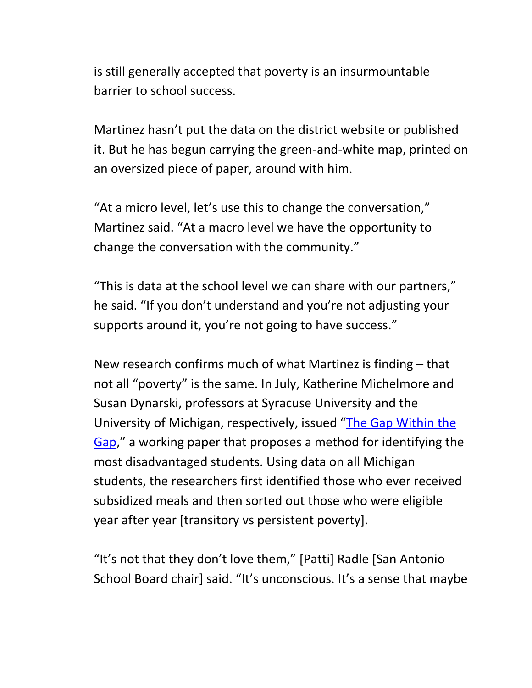is still generally accepted that poverty is an insurmountable barrier to school success.

Martinez hasn't put the data on the district website or published it. But he has begun carrying the green-and-white map, printed on an oversized piece of paper, around with him.

"At a micro level, let's use this to change the conversation," Martinez said. "At a macro level we have the opportunity to change the conversation with the community."

"This is data at the school level we can share with our partners," he said. "If you don't understand and you're not adjusting your supports around it, you're not going to have success."

New research confirms much of what Martinez is finding – that not all "poverty" is the same. In July, Katherine Michelmore and Susan Dynarski, professors at Syracuse University and the University of Michigan, respectively, issued "[The Gap Within the](http://users.nber.org/~dynarski/w22474.pdf)  [Gap](http://users.nber.org/~dynarski/w22474.pdf)," a working paper that proposes a method for identifying the most disadvantaged students. Using data on all Michigan students, the researchers first identified those who ever received subsidized meals and then sorted out those who were eligible year after year [transitory vs persistent poverty].

"It's not that they don't love them," [Patti] Radle [San Antonio School Board chair] said. "It's unconscious. It's a sense that maybe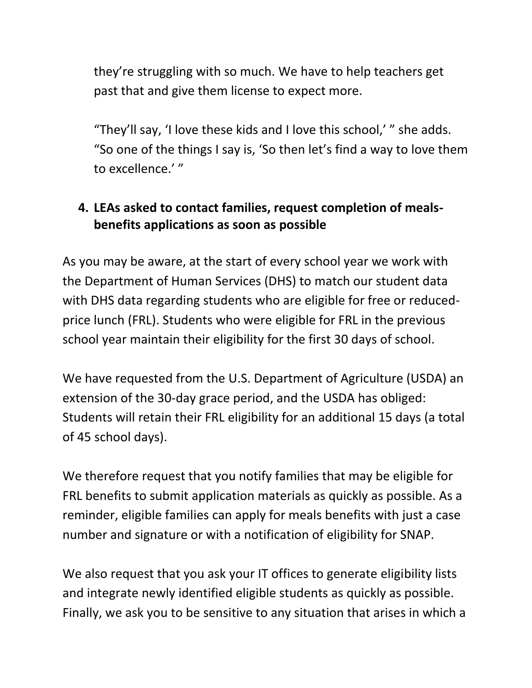they're struggling with so much. We have to help teachers get past that and give them license to expect more.

"They'll say, 'I love these kids and I love this school,' " she adds. "So one of the things I say is, 'So then let's find a way to love them to excellence.' "

## <span id="page-7-0"></span>**4. LEAs asked to contact families, request completion of mealsbenefits applications as soon as possible**

As you may be aware, at the start of every school year we work with the Department of Human Services (DHS) to match our student data with DHS data regarding students who are eligible for free or reducedprice lunch (FRL). Students who were eligible for FRL in the previous school year maintain their eligibility for the first 30 days of school.

We have requested from the U.S. Department of Agriculture (USDA) an extension of the 30-day grace period, and the USDA has obliged: Students will retain their FRL eligibility for an additional 15 days (a total of 45 school days).

We therefore request that you notify families that may be eligible for FRL benefits to submit application materials as quickly as possible. As a reminder, eligible families can apply for meals benefits with just a case number and signature or with a notification of eligibility for SNAP.

We also request that you ask your IT offices to generate eligibility lists and integrate newly identified eligible students as quickly as possible. Finally, we ask you to be sensitive to any situation that arises in which a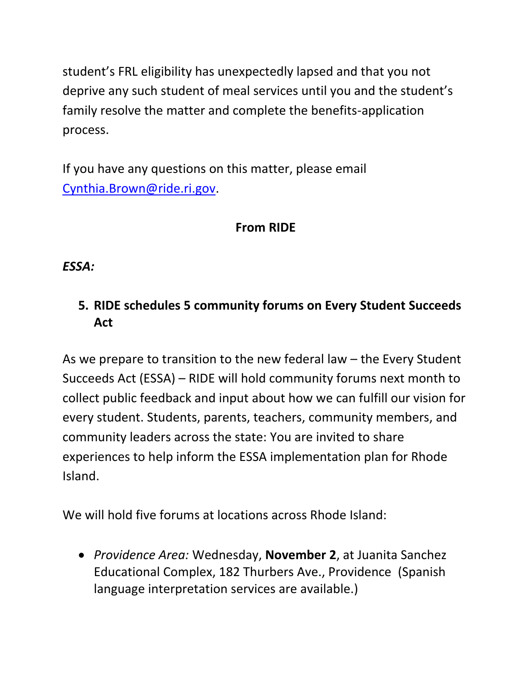student's FRL eligibility has unexpectedly lapsed and that you not deprive any such student of meal services until you and the student's family resolve the matter and complete the benefits-application process.

If you have any questions on this matter, please email [Cynthia.Brown@ride.ri.gov.](mailto:Cynthia.Brown@ride.ri.gov)

## **From RIDE**

### *ESSA:*

## <span id="page-8-0"></span>**5. RIDE schedules 5 community forums on Every Student Succeeds Act**

As we prepare to transition to the new federal law – the Every Student Succeeds Act (ESSA) – RIDE will hold community forums next month to collect public feedback and input about how we can fulfill our vision for every student. Students, parents, teachers, community members, and community leaders across the state: You are invited to share experiences to help inform the ESSA implementation plan for Rhode Island.

We will hold five forums at locations across Rhode Island:

 *Providence Area:* Wednesday, **November 2**, at Juanita Sanchez Educational Complex, 182 Thurbers Ave., Providence (Spanish language interpretation services are available.)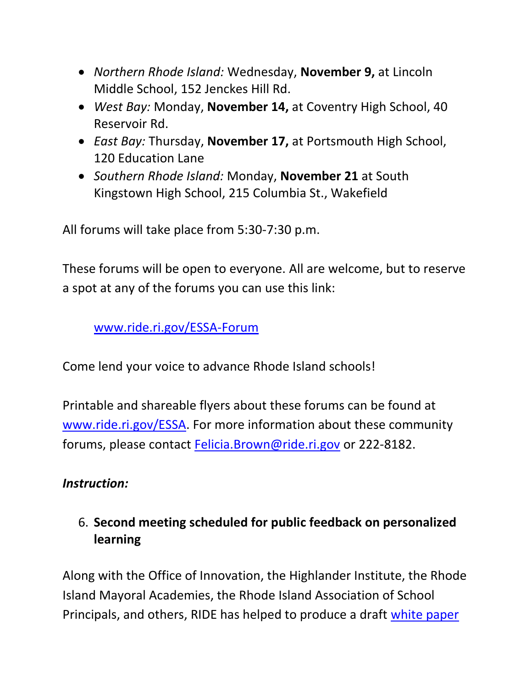- *Northern Rhode Island:* Wednesday, **November 9,** at Lincoln Middle School, 152 Jenckes Hill Rd.
- *West Bay:* Monday, **November 14,** at Coventry High School, 40 Reservoir Rd.
- *East Bay:* Thursday, **November 17,** at Portsmouth High School, 120 Education Lane
- *Southern Rhode Island:* Monday, **November 21** at South Kingstown High School, 215 Columbia St., Wakefield

All forums will take place from 5:30-7:30 p.m.

These forums will be open to everyone. All are welcome, but to reserve a spot at any of the forums you can use this link:

[www.ride.ri.gov/ESSA-Forum](http://www.ride.ri.gov/ESSA-Forum)

Come lend your voice to advance Rhode Island schools!

Printable and shareable flyers about these forums can be found at [www.ride.ri.gov/ESSA.](http://www.ride.ri.gov/ESSA) For more information about these community forums, please contact [Felicia.Brown@ride.ri.gov](mailto:Felicia.Brown@ride.ri.gov) or 222-8182.

### *Instruction:*

## <span id="page-9-0"></span>6. **Second meeting scheduled for public feedback on personalized learning**

Along with the Office of Innovation, the Highlander Institute, the Rhode Island Mayoral Academies, the Rhode Island Association of School Principals, and others, RIDE has helped to produce a draft [white paper](http://eduvateri.org/personalized/)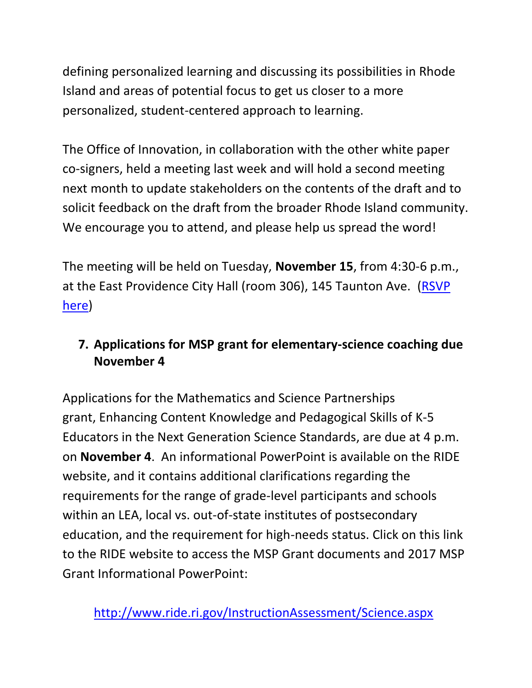defining personalized learning and discussing its possibilities in Rhode Island and areas of potential focus to get us closer to a more personalized, student-centered approach to learning.

The Office of Innovation, in collaboration with the other white paper co-signers, held a meeting last week and will hold a second meeting next month to update stakeholders on the contents of the draft and to solicit feedback on the draft from the broader Rhode Island community. We encourage you to attend, and please help us spread the word!

The meeting will be held on Tuesday, **November 15**, from 4:30-6 p.m., at the East Providence City Hall (room 306), 145 Taunton Ave. [\(RSVP](https://docs.google.com/forms/d/e/1FAIpQLSdSVxjDmpwFfHaMKDB8-3WSScdiO2nE9yha37Yi8xAMRhyB4A/viewform)  [here\)](https://docs.google.com/forms/d/e/1FAIpQLSdSVxjDmpwFfHaMKDB8-3WSScdiO2nE9yha37Yi8xAMRhyB4A/viewform)

# <span id="page-10-0"></span>**7. Applications for MSP grant for elementary-science coaching due November 4**

Applications for the Mathematics and Science Partnerships grant, Enhancing Content Knowledge and Pedagogical Skills of K-5 Educators in the Next Generation Science Standards, are due at 4 p.m. on **November 4**. An informational PowerPoint is available on the RIDE website, and it contains additional clarifications regarding the requirements for the range of grade-level participants and schools within an LEA, local vs. out-of-state institutes of postsecondary education, and the requirement for high-needs status. Click on this link to the RIDE website to access the MSP Grant documents and 2017 MSP Grant Informational PowerPoint: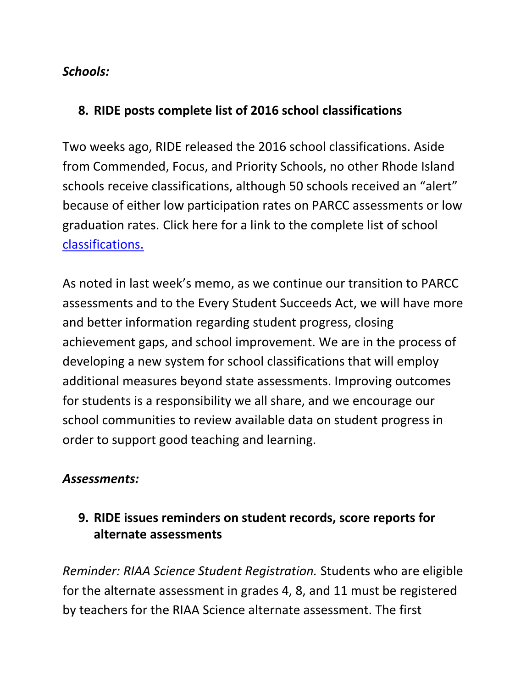### *Schools:*

### <span id="page-11-0"></span>**8. RIDE posts complete list of 2016 school classifications**

Two weeks ago, RIDE released the 2016 school classifications. Aside from Commended, Focus, and Priority Schools, no other Rhode Island schools receive classifications, although 50 schools received an "alert" because of either low participation rates on PARCC assessments or low graduation rates. Click here for a link to the complete list of school [classifications.](http://www.ride.ri.gov/Portals/0/Uploads/Documents/2016SchoolClassificationSummary.pdf)

As noted in last week's memo, as we continue our transition to PARCC assessments and to the Every Student Succeeds Act, we will have more and better information regarding student progress, closing achievement gaps, and school improvement. We are in the process of developing a new system for school classifications that will employ additional measures beyond state assessments. Improving outcomes for students is a responsibility we all share, and we encourage our school communities to review available data on student progress in order to support good teaching and learning.

### *Assessments:*

## <span id="page-11-1"></span>**9. RIDE issues reminders on student records, score reports for alternate assessments**

*Reminder: RIAA Science Student Registration.* Students who are eligible for the alternate assessment in grades 4, 8, and 11 must be registered by teachers for the RIAA Science alternate assessment. The first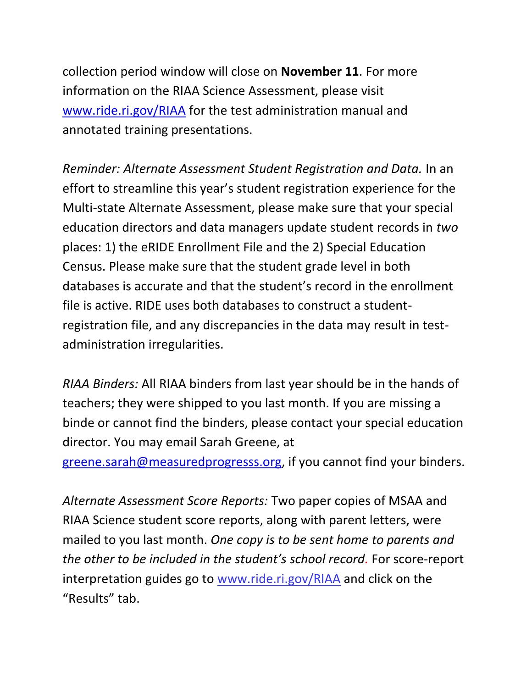collection period window will close on **November 11**. For more information on the RIAA Science Assessment, please visit [www.ride.ri.gov/RIAA](http://www.ride.ri.gov/RIAA) for the test administration manual and annotated training presentations.

*Reminder: Alternate Assessment Student Registration and Data.* In an effort to streamline this year's student registration experience for the Multi-state Alternate Assessment, please make sure that your special education directors and data managers update student records in *two* places: 1) the eRIDE Enrollment File and the 2) Special Education Census. Please make sure that the student grade level in both databases is accurate and that the student's record in the enrollment file is active. RIDE uses both databases to construct a studentregistration file, and any discrepancies in the data may result in testadministration irregularities.

*RIAA Binders:* All RIAA binders from last year should be in the hands of teachers; they were shipped to you last month. If you are missing a binde or cannot find the binders, please contact your special education director. You may email Sarah Greene, at

[greene.sarah@measuredprogresss.org,](mailto:greene.sarah@measuredprogresss.org) if you cannot find your binders.

*Alternate Assessment Score Reports:* Two paper copies of MSAA and RIAA Science student score reports, along with parent letters, were mailed to you last month. *One copy is to be sent home to parents and the other to be included in the student's school record.* For score-report interpretation guides go to [www.ride.ri.gov/RIAA](http://www.ride.ri.gov/RIAA) and click on the "Results" tab.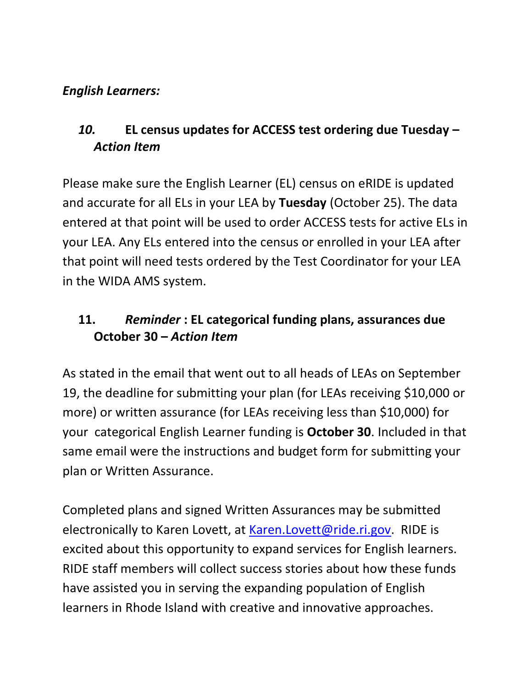#### *English Learners:*

## <span id="page-13-0"></span>*10.* **EL census updates for ACCESS test ordering due Tuesday –** *Action Item*

Please make sure the English Learner (EL) census on eRIDE is updated and accurate for all ELs in your LEA by **Tuesday** (October 25). The data entered at that point will be used to order ACCESS tests for active ELs in your LEA. Any ELs entered into the census or enrolled in your LEA after that point will need tests ordered by the Test Coordinator for your LEA in the WIDA AMS system.

### <span id="page-13-1"></span>**11.** *Reminder* **: EL categorical funding plans, assurances due October 30 –** *Action Item*

As stated in the email that went out to all heads of LEAs on September 19, the deadline for submitting your plan (for LEAs receiving \$10,000 or more) or written assurance (for LEAs receiving less than \$10,000) for your categorical English Learner funding is **October 30**. Included in that same email were the instructions and budget form for submitting your plan or Written Assurance.

Completed plans and signed Written Assurances may be submitted electronically to Karen Lovett, at [Karen.Lovett@ride.ri.gov.](mailto:Karen.Lovett@ride.ri.gov) RIDE is excited about this opportunity to expand services for English learners. RIDE staff members will collect success stories about how these funds have assisted you in serving the expanding population of English learners in Rhode Island with creative and innovative approaches.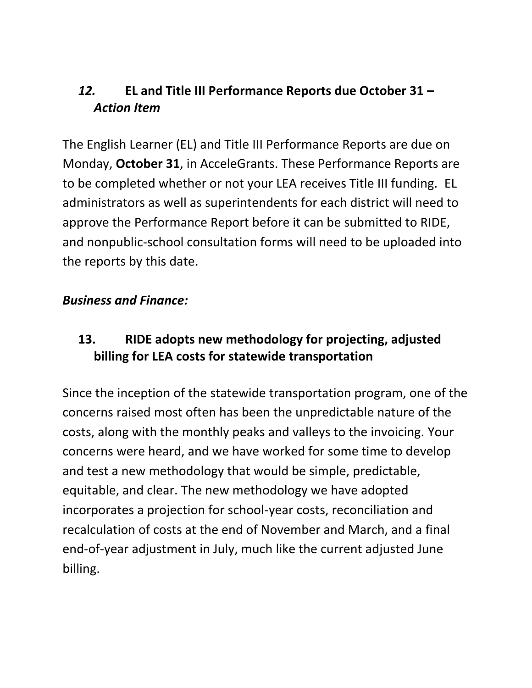## <span id="page-14-0"></span>*12.* **EL and Title III Performance Reports due October 31 –** *Action Item*

The English Learner (EL) and Title III Performance Reports are due on Monday, **October 31**, in AcceleGrants. These Performance Reports are to be completed whether or not your LEA receives Title III funding. EL administrators as well as superintendents for each district will need to approve the Performance Report before it can be submitted to RIDE, and nonpublic-school consultation forms will need to be uploaded into the reports by this date.

#### *Business and Finance:*

## <span id="page-14-1"></span>**13. RIDE adopts new methodology for projecting, adjusted billing for LEA costs for statewide transportation**

Since the inception of the statewide transportation program, one of the concerns raised most often has been the unpredictable nature of the costs, along with the monthly peaks and valleys to the invoicing. Your concerns were heard, and we have worked for some time to develop and test a new methodology that would be simple, predictable, equitable, and clear. The new methodology we have adopted incorporates a projection for school-year costs, reconciliation and recalculation of costs at the end of November and March, and a final end-of-year adjustment in July, much like the current adjusted June billing.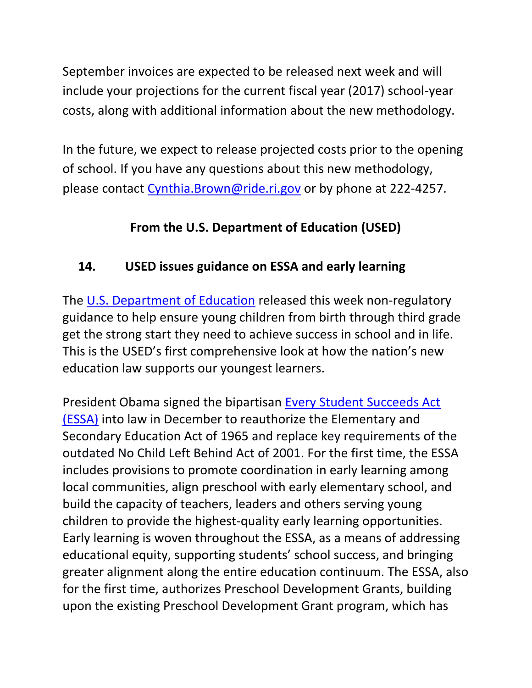September invoices are expected to be released next week and will include your projections for the current fiscal year (2017) school-year costs, along with additional information about the new methodology.

In the future, we expect to release projected costs prior to the opening of school. If you have any questions about this new methodology, please contact [Cynthia.Brown@ride.ri.gov](mailto:Cynthia.Brown@ride.ri.gov) or by phone at 222-4257.

# **From the U.S. Department of Education (USED)**

## <span id="page-15-0"></span>**14. USED issues guidance on ESSA and early learning**

The [U.S. Department of Education](http://links.govdelivery.com/track?type=click&enid=ZWFzPTEmbXNpZD0mYXVpZD0mbWFpbGluZ2lkPTIwMTYxMDIwLjY1Mjg4NDQxJm1lc3NhZ2VpZD1NREItUFJELUJVTC0yMDE2MTAyMC42NTI4ODQ0MSZkYXRhYmFzZWlkPTEwMDEmc2VyaWFsPTE2ODAxNzc3JmVtYWlsaWQ9ZWxsaW90LmtyaWVnZXJAcmlkZS5yaS5nb3YmdXNlcmlkPWVsbGlvdC5rcmllZ2VyQHJpZGUucmkuZ292JnRhcmdldGlkPSZmbD0mbXZpZD0mZXh0cmE9JiYm&&&101&&&http://www.ed.gov/?utm_content=&utm_medium=email&utm_name=&utm_source=govdelivery&utm_term=) released this week non-regulatory guidance to help ensure young children from birth through third grade get the strong start they need to achieve success in school and in life. This is the USED's first comprehensive look at how the nation's new education law supports our youngest learners.

President Obama signed the bipartisan [Every Student Succeeds Act](http://links.govdelivery.com/track?type=click&enid=ZWFzPTEmbXNpZD0mYXVpZD0mbWFpbGluZ2lkPTIwMTYxMDIwLjY1Mjg4NDQxJm1lc3NhZ2VpZD1NREItUFJELUJVTC0yMDE2MTAyMC42NTI4ODQ0MSZkYXRhYmFzZWlkPTEwMDEmc2VyaWFsPTE2ODAxNzc3JmVtYWlsaWQ9ZWxsaW90LmtyaWVnZXJAcmlkZS5yaS5nb3YmdXNlcmlkPWVsbGlvdC5rcmllZ2VyQHJpZGUucmkuZ292JnRhcmdldGlkPSZmbD0mbXZpZD0mZXh0cmE9JiYm&&&102&&&http://www.ed.gov/essa?utm_content=&utm_medium=email&utm_name=&utm_source=govdelivery&utm_term=)  [\(ESSA\)](http://links.govdelivery.com/track?type=click&enid=ZWFzPTEmbXNpZD0mYXVpZD0mbWFpbGluZ2lkPTIwMTYxMDIwLjY1Mjg4NDQxJm1lc3NhZ2VpZD1NREItUFJELUJVTC0yMDE2MTAyMC42NTI4ODQ0MSZkYXRhYmFzZWlkPTEwMDEmc2VyaWFsPTE2ODAxNzc3JmVtYWlsaWQ9ZWxsaW90LmtyaWVnZXJAcmlkZS5yaS5nb3YmdXNlcmlkPWVsbGlvdC5rcmllZ2VyQHJpZGUucmkuZ292JnRhcmdldGlkPSZmbD0mbXZpZD0mZXh0cmE9JiYm&&&102&&&http://www.ed.gov/essa?utm_content=&utm_medium=email&utm_name=&utm_source=govdelivery&utm_term=) into law in December to reauthorize the Elementary and Secondary Education Act of 1965 and replace key requirements of the outdated No Child Left Behind Act of 2001. For the first time, the ESSA includes provisions to promote coordination in early learning among local communities, align preschool with early elementary school, and build the capacity of teachers, leaders and others serving young children to provide the highest-quality early learning opportunities. Early learning is woven throughout the ESSA, as a means of addressing educational equity, supporting students' school success, and bringing greater alignment along the entire education continuum. The ESSA, also for the first time, authorizes Preschool Development Grants, building upon the existing Preschool Development Grant program, which has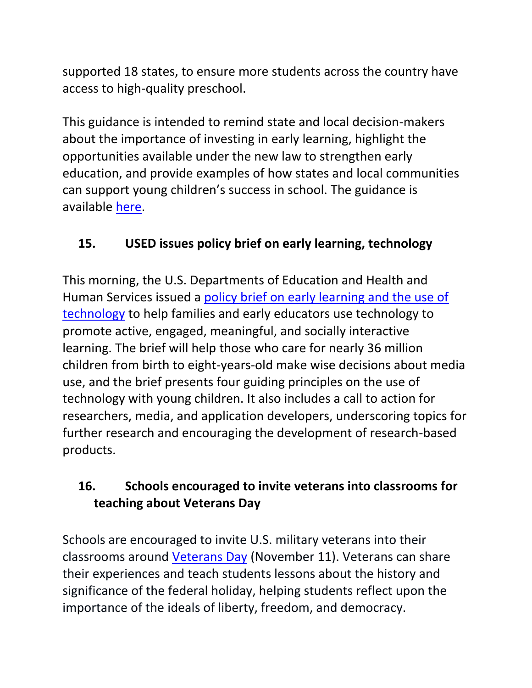supported 18 states, to ensure more students across the country have access to high-quality preschool.

This guidance is intended to remind state and local decision-makers about the importance of investing in early learning, highlight the opportunities available under the new law to strengthen early education, and provide examples of how states and local communities can support young children's success in school. The guidance is available [here.](http://links.govdelivery.com/track?type=click&enid=ZWFzPTEmbXNpZD0mYXVpZD0mbWFpbGluZ2lkPTIwMTYxMDIwLjY1Mjg4NDQxJm1lc3NhZ2VpZD1NREItUFJELUJVTC0yMDE2MTAyMC42NTI4ODQ0MSZkYXRhYmFzZWlkPTEwMDEmc2VyaWFsPTE2ODAxNzc3JmVtYWlsaWQ9ZWxsaW90LmtyaWVnZXJAcmlkZS5yaS5nb3YmdXNlcmlkPWVsbGlvdC5rcmllZ2VyQHJpZGUucmkuZ292JnRhcmdldGlkPSZmbD0mbXZpZD0mZXh0cmE9JiYm&&&103&&&http://www2.ed.gov/policy/elsec/leg/essa/essaelguidance10202016.pdf?utm_content=&utm_medium=email&utm_name=&utm_source=govdelivery&utm_term=)

## <span id="page-16-0"></span>**15. USED issues policy brief on early learning, technology**

This morning, the U.S. Departments of Education and Health and Human Services issued a [policy brief on early learning and the use of](http://links.govdelivery.com/track?type=click&enid=ZWFzPTEmbXNpZD0mYXVpZD0mbWFpbGluZ2lkPTIwMTYxMDIxLjY1MzM3MjMxJm1lc3NhZ2VpZD1NREItUFJELUJVTC0yMDE2MTAyMS42NTMzNzIzMSZkYXRhYmFzZWlkPTEwMDEmc2VyaWFsPTE2ODAzMDc4JmVtYWlsaWQ9ZWxsaW90LmtyaWVnZXJAcmlkZS5yaS5nb3YmdXNlcmlkPWVsbGlvdC5rcmllZ2VyQHJpZGUucmkuZ292JnRhcmdldGlkPSZmbD0mbXZpZD0mZXh0cmE9JiYm&&&119&&&http://tech.ed.gov/earlylearning/?utm_content=&utm_medium=email&utm_name=&utm_source=govdelivery&utm_term=)  [technology](http://links.govdelivery.com/track?type=click&enid=ZWFzPTEmbXNpZD0mYXVpZD0mbWFpbGluZ2lkPTIwMTYxMDIxLjY1MzM3MjMxJm1lc3NhZ2VpZD1NREItUFJELUJVTC0yMDE2MTAyMS42NTMzNzIzMSZkYXRhYmFzZWlkPTEwMDEmc2VyaWFsPTE2ODAzMDc4JmVtYWlsaWQ9ZWxsaW90LmtyaWVnZXJAcmlkZS5yaS5nb3YmdXNlcmlkPWVsbGlvdC5rcmllZ2VyQHJpZGUucmkuZ292JnRhcmdldGlkPSZmbD0mbXZpZD0mZXh0cmE9JiYm&&&119&&&http://tech.ed.gov/earlylearning/?utm_content=&utm_medium=email&utm_name=&utm_source=govdelivery&utm_term=) to help families and early educators use technology to promote active, engaged, meaningful, and socially interactive learning. The brief will help those who care for nearly 36 million children from birth to eight-years-old make wise decisions about media use, and the brief presents four guiding principles on the use of technology with young children. It also includes a call to action for researchers, media, and application developers, underscoring topics for further research and encouraging the development of research-based products.

## <span id="page-16-1"></span>**16. Schools encouraged to invite veterans into classrooms for teaching about Veterans Day**

Schools are encouraged to invite U.S. military veterans into their classrooms around [Veterans Day](http://links.govdelivery.com/track?type=click&enid=ZWFzPTEmbXNpZD0mYXVpZD0mbWFpbGluZ2lkPTIwMTYxMDIxLjY1MzM3MjMxJm1lc3NhZ2VpZD1NREItUFJELUJVTC0yMDE2MTAyMS42NTMzNzIzMSZkYXRhYmFzZWlkPTEwMDEmc2VyaWFsPTE2ODAzMDc4JmVtYWlsaWQ9ZWxsaW90LmtyaWVnZXJAcmlkZS5yaS5nb3YmdXNlcmlkPWVsbGlvdC5rcmllZ2VyQHJpZGUucmkuZ292JnRhcmdldGlkPSZmbD0mbXZpZD0mZXh0cmE9JiYm&&&139&&&http://www.va.gov/opa/vetsday/?utm_content=&utm_medium=email&utm_name=&utm_source=govdelivery&utm_term=) (November 11). Veterans can share their experiences and teach students lessons about the history and significance of the federal holiday, helping students reflect upon the importance of the ideals of liberty, freedom, and democracy.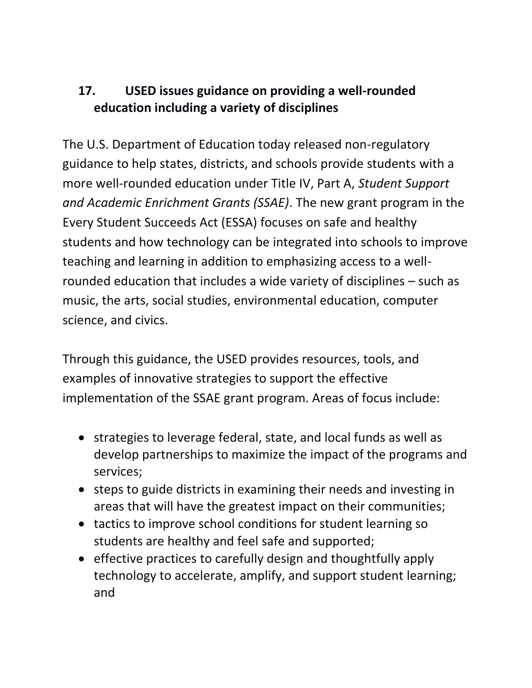## <span id="page-17-0"></span>**17. USED issues guidance on providing a well-rounded education including a variety of disciplines**

The U.S. Department of Education today released non-regulatory guidance to help states, districts, and schools provide students with a more well-rounded education under Title IV, Part A, *Student Support and Academic Enrichment Grants (SSAE)*. The new grant program in the Every Student Succeeds Act (ESSA) focuses on safe and healthy students and how technology can be integrated into schools to improve teaching and learning in addition to emphasizing access to a wellrounded education that includes a wide variety of disciplines – such as music, the arts, social studies, environmental education, computer science, and civics.

Through this guidance, the USED provides resources, tools, and examples of innovative strategies to support the effective implementation of the SSAE grant program. Areas of focus include:

- strategies to leverage federal, state, and local funds as well as develop partnerships to maximize the impact of the programs and services;
- steps to guide districts in examining their needs and investing in areas that will have the greatest impact on their communities;
- tactics to improve school conditions for student learning so students are healthy and feel safe and supported;
- effective practices to carefully design and thoughtfully apply technology to accelerate, amplify, and support student learning; and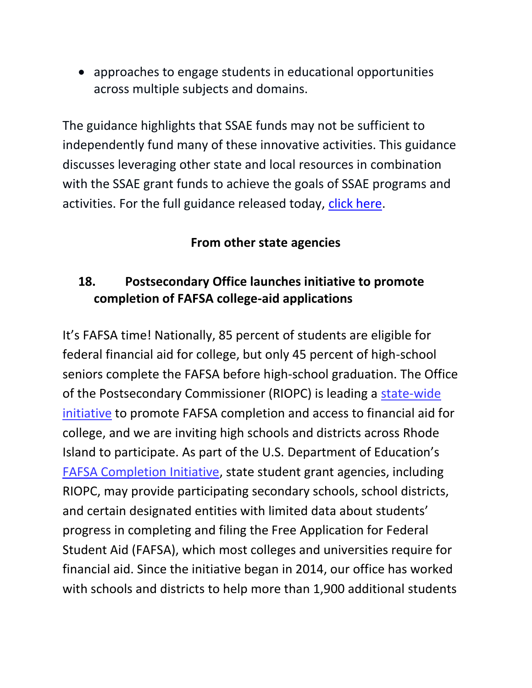approaches to engage students in educational opportunities across multiple subjects and domains.

The guidance highlights that SSAE funds may not be sufficient to independently fund many of these innovative activities. This guidance discusses leveraging other state and local resources in combination with the SSAE grant funds to achieve the goals of SSAE programs and activities. For the full guidance released today, [click here.](http://www2.ed.gov/policy/elsec/leg/essa/essassaegrantguid10212016.pdf)

### **From other state agencies**

## <span id="page-18-0"></span>**18. Postsecondary Office launches initiative to promote completion of FAFSA college-aid applications**

It's FAFSA time! Nationally, 85 percent of students are eligible for federal financial aid for college, but only 45 percent of high-school seniors complete the FAFSA before high-school graduation. The Office of the Postsecondary Commissioner (RIOPC) is leading a [state-wide](https://www.riopc.edu/page/FAFSA_completion/)  [initiative](https://www.riopc.edu/page/FAFSA_completion/) to promote FAFSA completion and access to financial aid for college, and we are inviting high schools and districts across Rhode Island to participate. As part of the U.S. Department of Education's [FAFSA Completion Initiative,](http://blog.ed.gov/2014/03/president-obama-announces-new-fafsa-completion-initiative/) state student grant agencies, including RIOPC, may provide participating secondary schools, school districts, and certain designated entities with limited data about students' progress in completing and filing the Free Application for Federal Student Aid (FAFSA), which most colleges and universities require for financial aid. Since the initiative began in 2014, our office has worked with schools and districts to help more than 1,900 additional students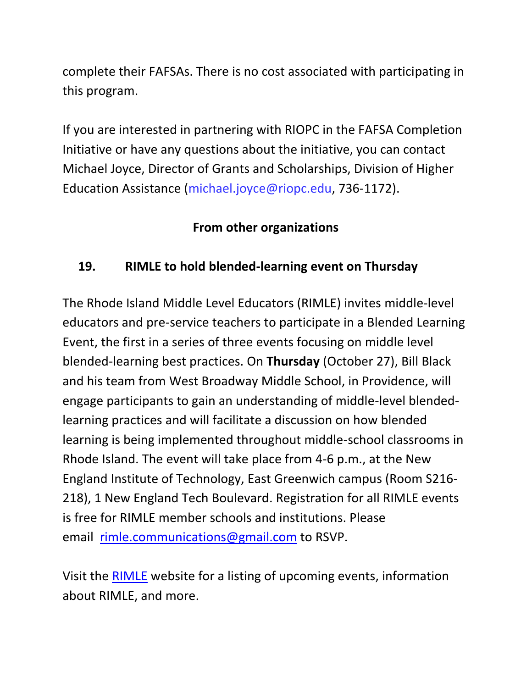complete their FAFSAs. There is no cost associated with participating in this program.

If you are interested in partnering with RIOPC in the FAFSA Completion Initiative or have any questions about the initiative, you can contact Michael Joyce, Director of Grants and Scholarships, Division of Higher Education Assistance [\(michael.joyce@riopc.edu,](mailto:michael.joyce@riopc.edu) 736-1172).

## **From other organizations**

## <span id="page-19-0"></span>**19. RIMLE to hold blended-learning event on Thursday**

The Rhode Island Middle Level Educators (RIMLE) invites middle-level educators and pre-service teachers to participate in a Blended Learning Event, the first in a series of three events focusing on middle level blended-learning best practices. On **Thursday** (October 27), Bill Black and his team from West Broadway Middle School, in Providence, will engage participants to gain an understanding of middle-level blendedlearning practices and will facilitate a discussion on how blended learning is being implemented throughout middle-school classrooms in Rhode Island. The event will take place from 4-6 p.m., at the New England Institute of Technology, East Greenwich campus (Room S216- 218), 1 New England Tech Boulevard. Registration for all RIMLE events is free for RIMLE member schools and institutions. Please email [rimle.communications@gmail.com](mailto:rimle.communications@gmail.com) to RSVP.

Visit the [RIMLE](http://www.rimle.net/) website for a listing of upcoming events, information about RIMLE, and more.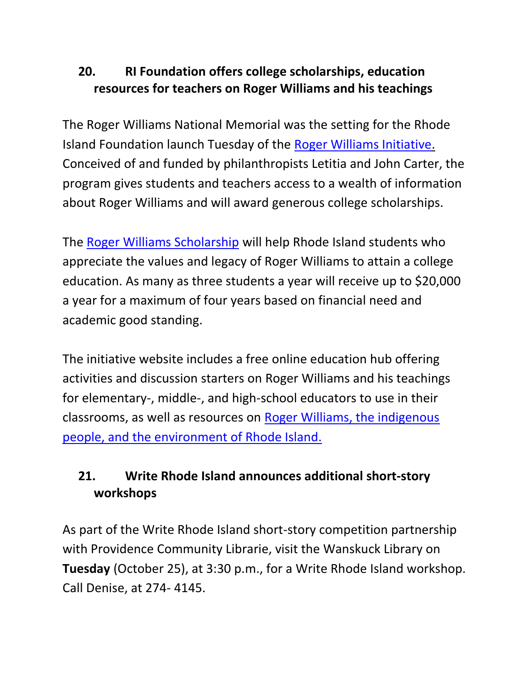## <span id="page-20-0"></span>**20. RI Foundation offers college scholarships, education resources for teachers on Roger Williams and his teachings**

The Roger Williams National Memorial was the setting for the Rhode Island Foundation launch Tuesday of the [Roger Williams Initiative.](http://r20.rs6.net/tn.jsp?f=001ehq4QNVbg33Pnr8Jh6XLDUqpn1Eg6ip5oI4z7BhtCwznhMsMAbZZgTGxdF_NFqWxXYwnyrq73BaSnHa98pCKIxeQgR77jW0Yk0qw05Jq8CRuqYWtibQUtQTLaC3bwtZrl7N46qCEhy-KK9fdsa4vBCr-c_LdtvWMZ-R2C1nDRuNJm8TgEWhKkDznuH7fn0muqx0-nGzXQcJuqrRJHwZ5JkJGIrLHsNBllgwT8lWKZZ7U4dUMnUD21GfWW31cEdyQnf7l_ey9YpPeykGf3N2XK1IuvzbSbtY2DCaGtavnhlYsAlEwdBlfTHPNORf2U9aqmX-jwzKPDOJliy1e9bpxd59MyWQ0cxrX6VSBHSpwgEf1KnUrl_38YNobbdOxlKV5&c=rcKEzuyCUTNkO1u8D1jU_cngyCMxqOchUDiebVXfGdBzGmOMaWDeIw==&ch=WgGvYVwxkcnvHAUP08SOX_wjhm5NWC7GOX7SVjMxqauicgFc6ljTHw==) Conceived of and funded by philanthropists Letitia and John Carter, the program gives students and teachers access to a wealth of information about Roger Williams and will award generous college scholarships.

The [Roger Williams Scholarship](http://r20.rs6.net/tn.jsp?f=001ehq4QNVbg33Pnr8Jh6XLDUqpn1Eg6ip5oI4z7BhtCwznhMsMAbZZgTGxdF_NFqWxIFaOKyDJq-jlMZzwOtC29XZdQLM2MXaS-f1ZDLiFjvK-YaVoOx5kEAQ9ZtWyd0sZGVfpZyB76jpQQNZyjLO1Qc4FULyVz9Aa9O3hLxbc4krBSPTY9DF0Vn0LWGYMmuDd8iumSClth3wwd8YnhQ38dqHmNwx8GM_69VaymvxmzsGAtHw-E-iCnQ==&c=rcKEzuyCUTNkO1u8D1jU_cngyCMxqOchUDiebVXfGdBzGmOMaWDeIw==&ch=WgGvYVwxkcnvHAUP08SOX_wjhm5NWC7GOX7SVjMxqauicgFc6ljTHw==) will help Rhode Island students who appreciate the values and legacy of Roger Williams to attain a college education. As many as three students a year will receive up to \$20,000 a year for a maximum of four years based on financial need and academic good standing.

The initiative website includes a free online education hub offering activities and discussion starters on Roger Williams and his teachings for elementary-, middle-, and high-school educators to use in their classrooms, as well as resources on [Roger Williams, the indigenous](http://r20.rs6.net/tn.jsp?f=001ehq4QNVbg33Pnr8Jh6XLDUqpn1Eg6ip5oI4z7BhtCwznhMsMAbZZgTGxdF_NFqWx8GvrXaK4zYZ-h_Grz0oUe_2FDBSeN36fcNByqq0A6HCJ9ql1sS3vYGSnG6_hmaOdsibxSpinyZgTNjhijQ_fTk-979y6BiEqSfUfyYt4G_utxl9SncpeyJ3hOGxxAulmGRZQB5YDo1Q=&c=rcKEzuyCUTNkO1u8D1jU_cngyCMxqOchUDiebVXfGdBzGmOMaWDeIw==&ch=WgGvYVwxkcnvHAUP08SOX_wjhm5NWC7GOX7SVjMxqauicgFc6ljTHw==)  [people, and the environment of Rhode Island.](http://r20.rs6.net/tn.jsp?f=001ehq4QNVbg33Pnr8Jh6XLDUqpn1Eg6ip5oI4z7BhtCwznhMsMAbZZgTGxdF_NFqWx8GvrXaK4zYZ-h_Grz0oUe_2FDBSeN36fcNByqq0A6HCJ9ql1sS3vYGSnG6_hmaOdsibxSpinyZgTNjhijQ_fTk-979y6BiEqSfUfyYt4G_utxl9SncpeyJ3hOGxxAulmGRZQB5YDo1Q=&c=rcKEzuyCUTNkO1u8D1jU_cngyCMxqOchUDiebVXfGdBzGmOMaWDeIw==&ch=WgGvYVwxkcnvHAUP08SOX_wjhm5NWC7GOX7SVjMxqauicgFc6ljTHw==)

# **21. Write Rhode Island announces additional short-story workshops**

As part of the Write Rhode Island short-story competition partnership with Providence Community Librarie, visit the Wanskuck Library on **Tuesday** (October 25), at 3:30 p.m., for a Write Rhode Island workshop. Call Denise, at 274- 4145.